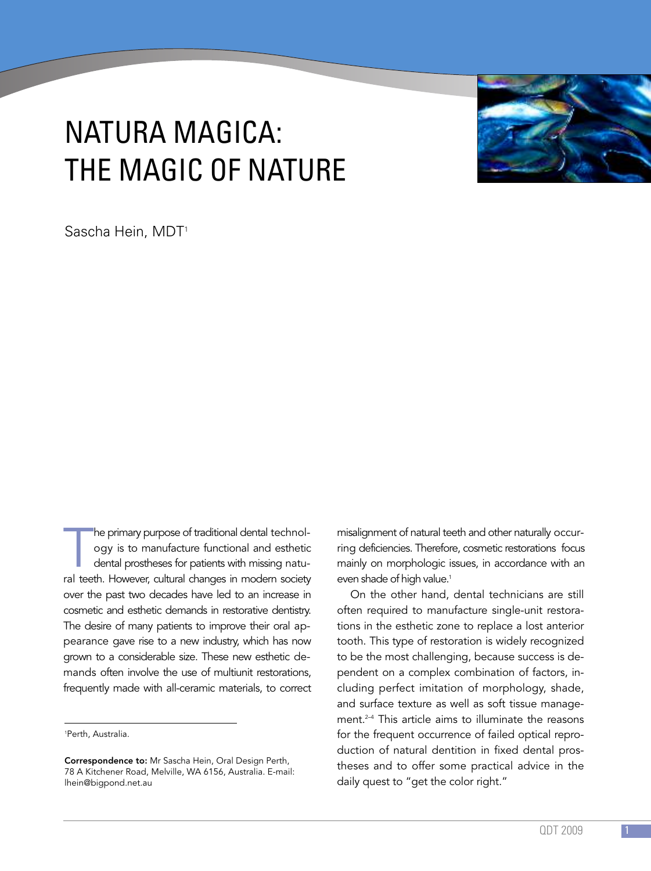# NATURA MAGICA: THE MAGIC OF NATURE

Sascha Hein, MDT<sup>1</sup>

The primary purpose of traditional dental technology is to manufacture functional and esthetic dental prostheses for patients with missing natural teeth. However, cultural changes in modern society he primary purpose of traditional dental technology is to manufacture functional and esthetic dental prostheses for patients with missing natuover the past two decades have led to an increase in cosmetic and esthetic demands in restorative dentistry. The desire of many patients to improve their oral appearance gave rise to a new industry, which has now grown to a considerable size. These new esthetic demands often involve the use of multiunit restorations, frequently made with all-ceramic materials, to correct

misalignment of natural teeth and other naturally occurring deficiencies. Therefore, cosmetic restorations focus mainly on morphologic issues, in accordance with an even shade of high value. 1

On the other hand, dental technicians are still often required to manufacture single-unit restorations in the esthetic zone to replace a lost anterior tooth. This type of restoration is widely recognized to be the most challenging, because success is dependent on a complex combination of factors, including perfect imitation of morphology, shade, and surface texture as well as soft tissue management. 2–4 This article aims to illuminate the reasons for the frequent occurrence of failed optical reproduction of natural dentition in fixed dental prostheses and to offer some practical advice in the daily quest to "get the color right."



<sup>1</sup> Perth, Australia.

Correspondence to: Mr Sascha Hein, Oral Design Perth, 78 A Kitchener Road, Melville, WA 6156, Australia. E-mail: lhein@bigpond.net.au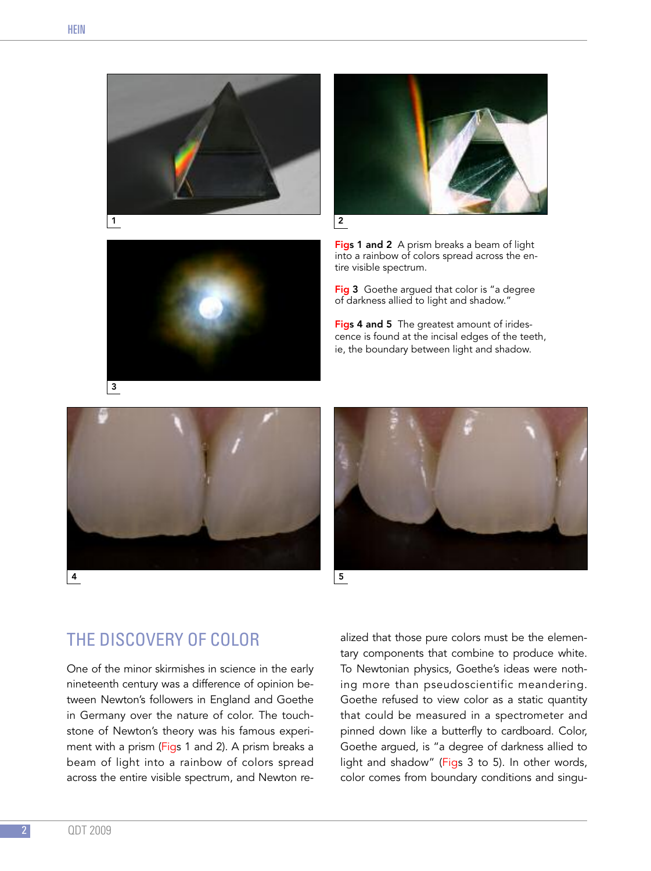



3

Figs 1 and 2 A prism breaks a beam of light into a rainbow of colors spread across the entire visible spectrum.

Fig 3 Goethe argued that color is "a degree of darkness allied to light and shadow."

Figs 4 and 5 The greatest amount of iridescence is found at the incisal edges of the teeth, ie, the boundary between light and shadow.





THE DISCOVERY OF COLOR

One of the minor skirmishes in science in the early nineteenth century was a difference of opinion between Newton's followers in England and Goethe in Germany over the nature of color. The touchstone of Newton's theory was his famous experiment with a prism (Figs 1 and 2). A prism breaks a beam of light into a rainbow of colors spread across the entire visible spectrum, and Newton realized that those pure colors must be the elementary components that combine to produce white. To Newtonian physics, Goethe's ideas were nothing more than pseudoscientific meandering. Goethe refused to view color as a static quantity that could be measured in a spectrometer and pinned down like a butterfly to cardboard. Color, Goethe argued, is "a degree of darkness allied to light and shadow" (Figs 3 to 5). In other words, color comes from boundary conditions and singu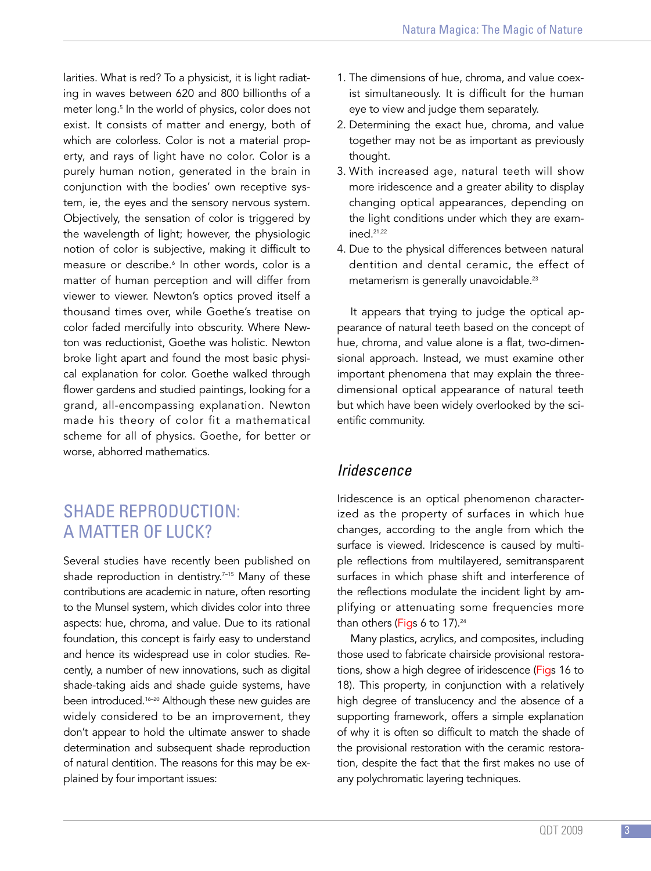larities. What is red? To a physicist, it is light radiating in waves between 620 and 800 billionths of a meter long. <sup>5</sup> In the world of physics, color does not exist. It consists of matter and energy, both of which are colorless. Color is not a material property, and rays of light have no color. Color is a purely human notion, generated in the brain in conjunction with the bodies' own receptive system, ie, the eyes and the sensory nervous system. Objectively, the sensation of color is triggered by the wavelength of light; however, the physiologic notion of color is subjective, making it difficult to measure or describe. <sup>6</sup> In other words, color is a matter of human perception and will differ from viewer to viewer. Newton's optics proved itself a thousand times over, while Goethe's treatise on color faded mercifully into obscurity. Where Newton was reductionist, Goethe was holistic. Newton broke light apart and found the most basic physical explanation for color. Goethe walked through flower gardens and studied paintings, looking for a grand, all-encompassing explanation. Newton made his theory of color fit a mathematical scheme for all of physics. Goethe, for better or worse, abhorred mathematics.

# SHADE REPRODUCTION: A MATTER OF LUCK?

Several studies have recently been published on shade reproduction in dentistry. 7–15 Many of these contributions are academic in nature, often resorting to the Munsel system, which divides color into three aspects: hue, chroma, and value. Due to its rational foundation, this concept is fairly easy to understand and hence its widespread use in color studies. Recently, a number of new innovations, such as digital shade-taking aids and shade guide systems, have been introduced. 16–20 Although these new guides are widely considered to be an improvement, they don't appear to hold the ultimate answer to shade determination and subsequent shade reproduction of natural dentition. The reasons for this may be explained by four important issues:

- 1. The dimensions of hue, chroma, and value coexist simultaneously. It is difficult for the human eye to view and judge them separately.
- 2. Determining the exact hue, chroma, and value together may not be as important as previously thought.
- 3. With increased age, natural teeth will show more iridescence and a greater ability to display changing optical appearances, depending on the light conditions under which they are examined. 21,22
- 4. Due to the physical differences between natural dentition and dental ceramic, the effect of metamerism is generally unavoidable. 23

It appears that trying to judge the optical appearance of natural teeth based on the concept of hue, chroma, and value alone is a flat, two-dimensional approach. Instead, we must examine other important phenomena that may explain the threedimensional optical appearance of natural teeth but which have been widely overlooked by the scientific community.

#### *Iridescence*

Iridescence is an optical phenomenon characterized as the property of surfaces in which hue changes, according to the angle from which the surface is viewed. Iridescence is caused by multiple reflections from multilayered, semitransparent surfaces in which phase shift and interference of the reflections modulate the incident light by amplifying or attenuating some frequencies more than others (<mark>Fig</mark>s 6 to 17).<sup>24</sup>

Many plastics, acrylics, and composites, including those used to fabricate chairside provisional restorations, show a high degree of iridescence (Figs 16 to 18). This property, in conjunction with a relatively high degree of translucency and the absence of a supporting framework, offers a simple explanation of why it is often so difficult to match the shade of the provisional restoration with the ceramic restoration, despite the fact that the first makes no use of any polychromatic layering techniques.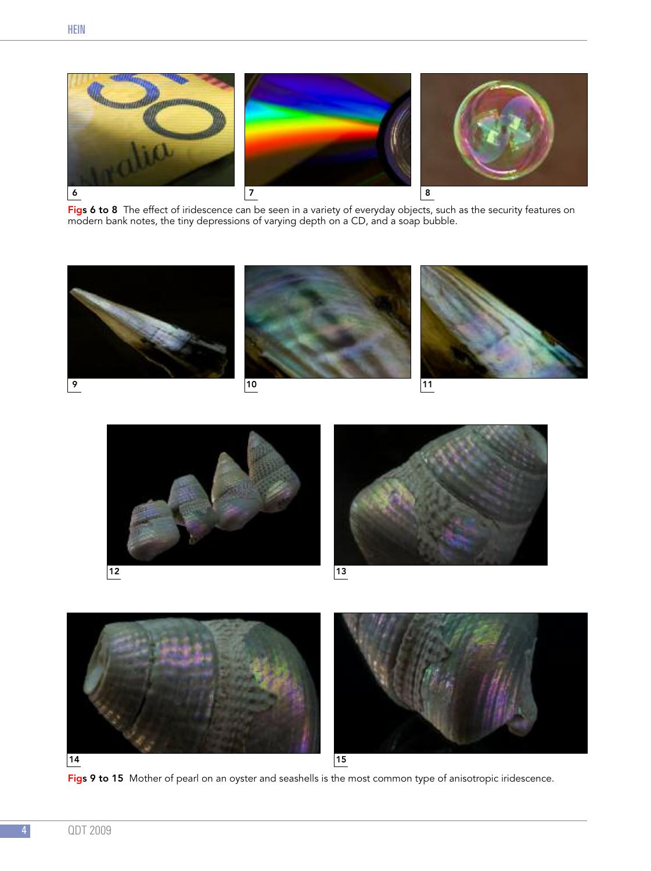

Figs 6 to 8 The effect of iridescence can be seen in a variety of everyday objects, such as the security features on modern bank notes, the tiny depressions of varying depth on a CD, and a soap bubble.









Figs 9 to 15 Mother of pearl on an oyster and seashells is the most common type of anisotropic iridescence.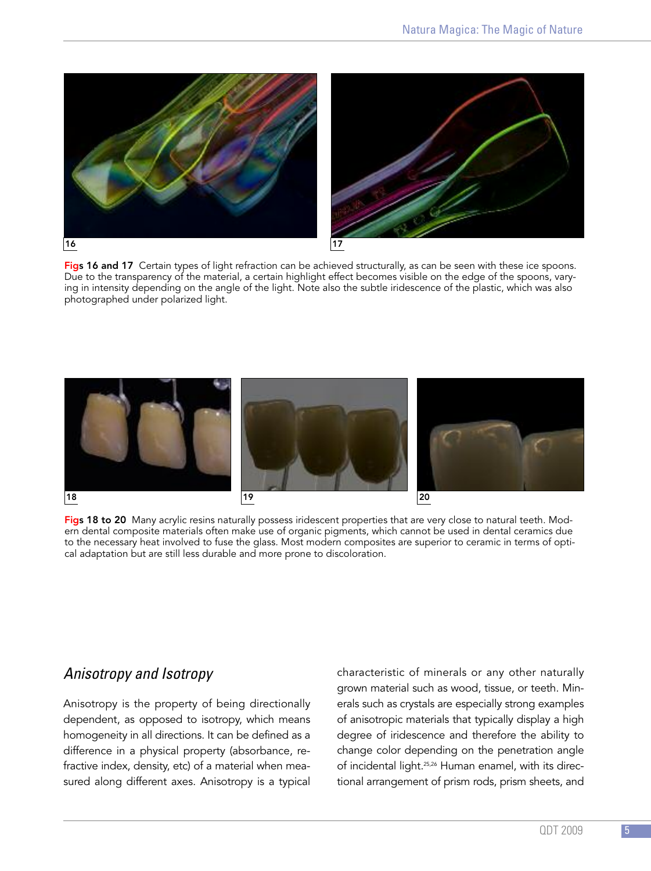



Figs 16 and 17 Certain types of light refraction can be achieved structurally, as can be seen with these ice spoons. Due to the transparency of the material, a certain highlight effect becomes visible on the edge of the spoons, varying in intensity depending on the angle of the light. Note also the subtle iridescence of the plastic, which was also photographed under polarized light.



Figs 18 to 20 Many acrylic resins naturally possess iridescent properties that are very close to natural teeth. Modern dental composite materials often make use of organic pigments, which cannot be used in dental ceramics due to the necessary heat involved to fuse the glass. Most modern composites are superior to ceramic in terms of optical adaptation but are still less durable and more prone to discoloration.

## *Anisotropy and Isotropy*

Anisotropy is the property of being directionally dependent, as opposed to isotropy, which means homogeneity in all directions. It can be defined as a difference in a physical property (absorbance, refractive index, density, etc) of a material when measured along different axes. Anisotropy is a typical

characteristic of minerals or any other naturally grown material such as wood, tissue, or teeth. Minerals such as crystals are especially strong examples of anisotropic materials that typically display a high degree of iridescence and therefore the ability to change color depending on the penetration angle of incidental light. 25,26 Human enamel, with its directional arrangement of prism rods, prism sheets, and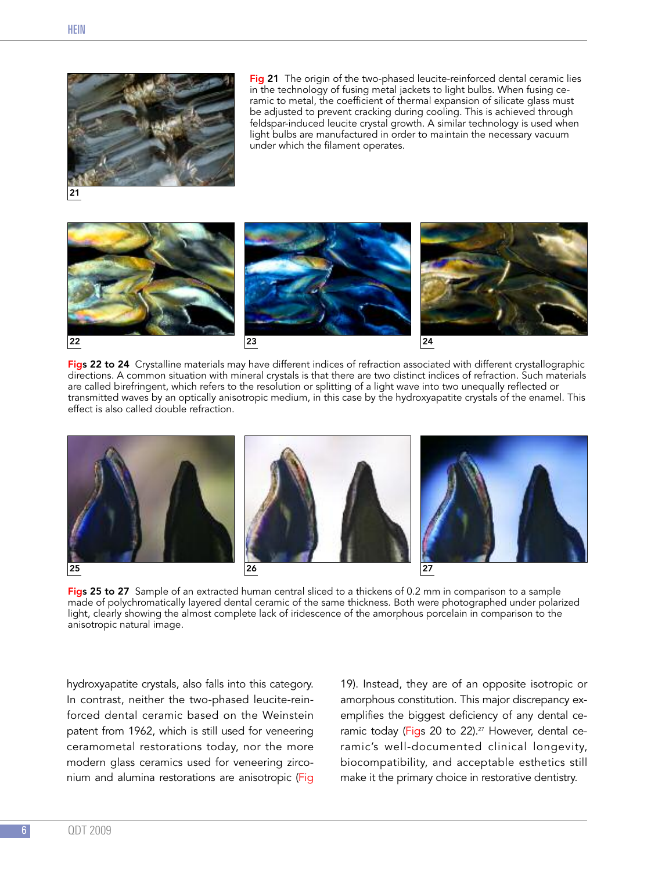

Fig 21 The origin of the two-phased leucite-reinforced dental ceramic lies in the technology of fusing metal jackets to light bulbs. When fusing ceramic to metal, the coefficient of thermal expansion of silicate glass must be adjusted to prevent cracking during cooling. This is achieved through feldspar-induced leucite crystal growth. A similar technology is used when light bulbs are manufactured in order to maintain the necessary vacuum under which the filament operates.



Figs 22 to 24 Crystalline materials may have different indices of refraction associated with different crystallographic directions. A common situation with mineral crystals is that there are two distinct indices of refraction. Such materials are called birefringent, which refers to the resolution or splitting of a light wave into two unequally reflected or transmitted waves by an optically anisotropic medium, in this case by the hydroxyapatite crystals of the enamel. This effect is also called double refraction.



Figs 25 to 27 Sample of an extracted human central sliced to a thickens of 0.2 mm in comparison to a sample made of polychromatically layered dental ceramic of the same thickness. Both were photographed under polarized light, clearly showing the almost complete lack of iridescence of the amorphous porcelain in comparison to the anisotropic natural image.

hydroxyapatite crystals, also falls into this category. In contrast, neither the two-phased leucite-reinforced dental ceramic based on the Weinstein patent from 1962, which is still used for veneering ceramometal restorations today, nor the more modern glass ceramics used for veneering zirconium and alumina restorations are anisotropic (Fig

19). Instead, they are of an opposite isotropic or amorphous constitution. This major discrepancy exemplifies the biggest deficiency of any dental ceramic today (Figs 20 to 22). <sup>27</sup> However, dental ceramic's well-documented clinical longevity, biocompatibility, and acceptable esthetics still make it the primary choice in restorative dentistry.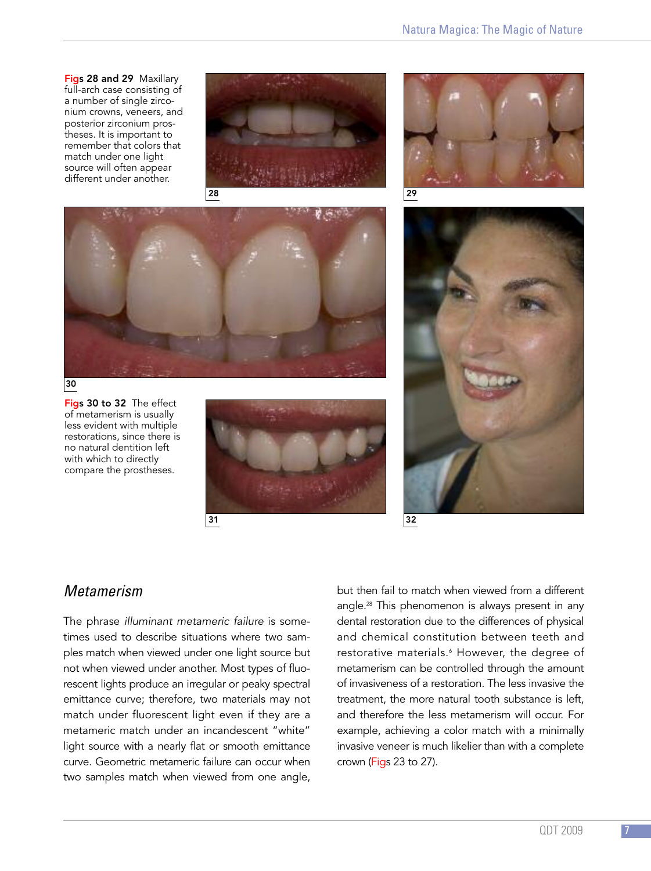Figs 28 and 29 Maxillary full-arch case consisting of a number of single zirconium crowns, veneers, and posterior zirconium prostheses. It is important to remember that colors that match under one light source will often appear different under another.





30

Figs 30 to 32 The effect of metamerism is usually less evident with multiple restorations, since there is no natural dentition left with which to directly compare the prostheses.







32

## *Metamerism*

The phrase *illuminant metameric failure* is sometimes used to describe situations where two samples match when viewed under one light source but not when viewed under another. Most types of fluorescent lights produce an irregular or peaky spectral emittance curve; therefore, two materials may not match under fluorescent light even if they are a metameric match under an incandescent "white" light source with a nearly flat or smooth emittance curve. Geometric metameric failure can occur when two samples match when viewed from one angle,

but then fail to match when viewed from a different angle. <sup>28</sup> This phenomenon is always present in any dental restoration due to the differences of physical and chemical constitution between teeth and restorative materials. <sup>6</sup> However, the degree of metamerism can be controlled through the amount of invasiveness of a restoration. The less invasive the treatment, the more natural tooth substance is left, and therefore the less metamerism will occur. For example, achieving a color match with a minimally invasive veneer is much likelier than with a complete crown (Figs 23 to 27).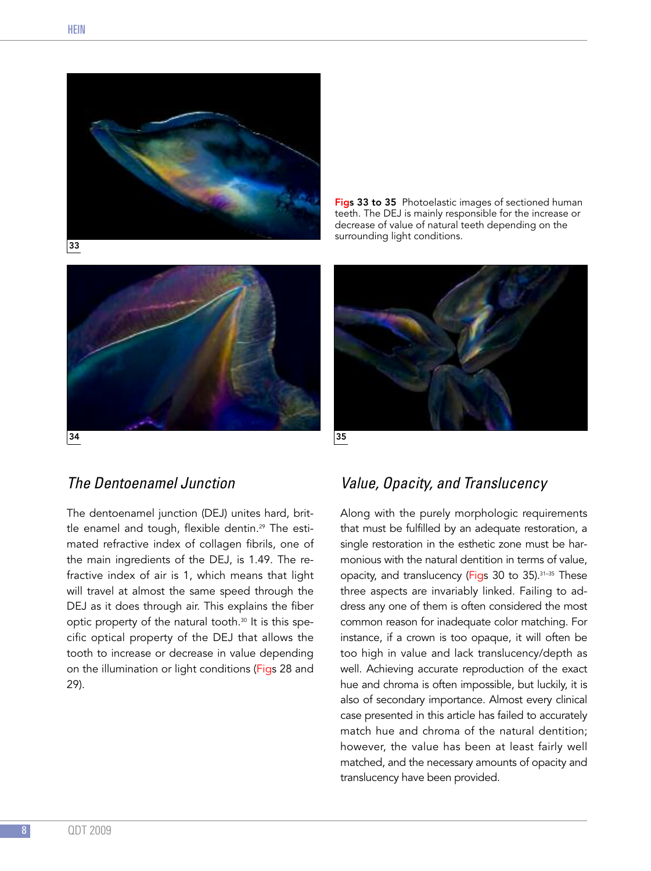

Figs 33 to 35 Photoelastic images of sectioned human teeth. The DEJ is mainly responsible for the increase or decrease of value of natural teeth depending on the surrounding light conditions.



## *The Dentoenamel Junction*

The dentoenamel junction (DEJ) unites hard, brittle enamel and tough, flexible dentin. <sup>29</sup> The estimated refractive index of collagen fibrils, one of the main ingredients of the DEJ, is 1.49. The refractive index of air is 1, which means that light will travel at almost the same speed through the DEJ as it does through air. This explains the fiber optic property of the natural tooth. <sup>30</sup> It is this specific optical property of the DEJ that allows the tooth to increase or decrease in value depending on the illumination or light conditions (Figs 28 and 29).

## *Value, Opacity, and Translucency*

Along with the purely morphologic requirements that must be fulfilled by an adequate restoration, a single restoration in the esthetic zone must be harmonious with the natural dentition in terms of value, opacity, and translucency (Figs 30 to 35). 31–35 These three aspects are invariably linked. Failing to address any one of them is often considered the most common reason for inadequate color matching. For instance, if a crown is too opaque, it will often be too high in value and lack translucency/depth as well. Achieving accurate reproduction of the exact hue and chroma is often impossible, but luckily, it is also of secondary importance. Almost every clinical case presented in this article has failed to accurately match hue and chroma of the natural dentition; however, the value has been at least fairly well matched, and the necessary amounts of opacity and translucency have been provided.

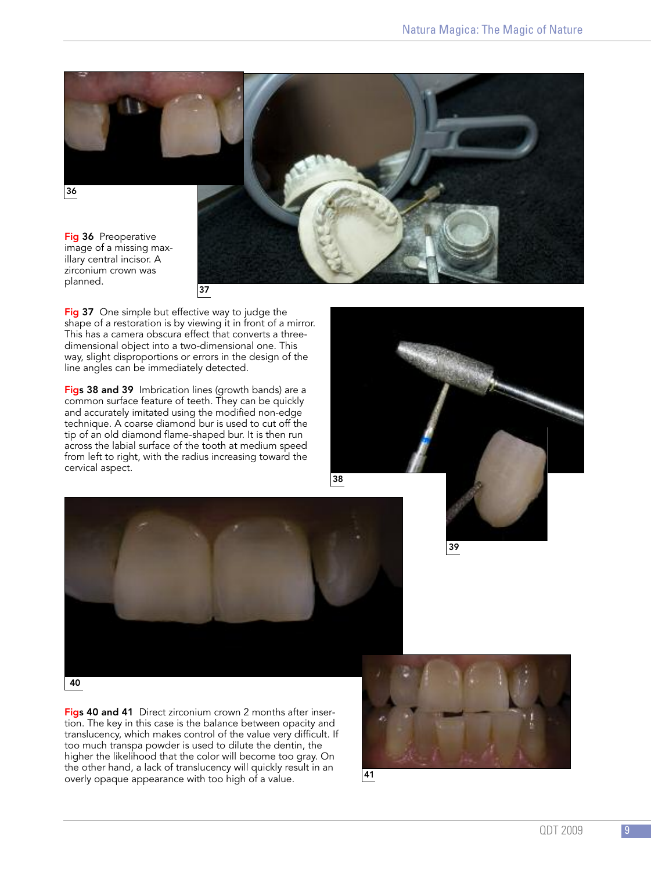

Fig 37 One simple but effective way to judge the shape of a restoration is by viewing it in front of a mirror. This has a camera obscura effect that converts a threedimensional object into a two-dimensional one. This way, slight disproportions or errors in the design of the line angles can be immediately detected.

Figs 38 and 39 Imbrication lines (growth bands) are a common surface feature of teeth. They can be quickly and accurately imitated using the modified non-edge technique. A coarse diamond bur is used to cut off the tip of an old diamond flame-shaped bur. It is then run across the labial surface of the tooth at medium speed from left to right, with the radius increasing toward the cervical aspect.



39



Figs 40 and 41 Direct zirconium crown 2 months after insertion. The key in this case is the balance between opacity and translucency, which makes control of the value very difficult. If too much transpa powder is used to dilute the dentin, the higher the likelihood that the color will become too gray. On the other hand, a lack of translucency will quickly result in an overly opaque appearance with too high of a value.

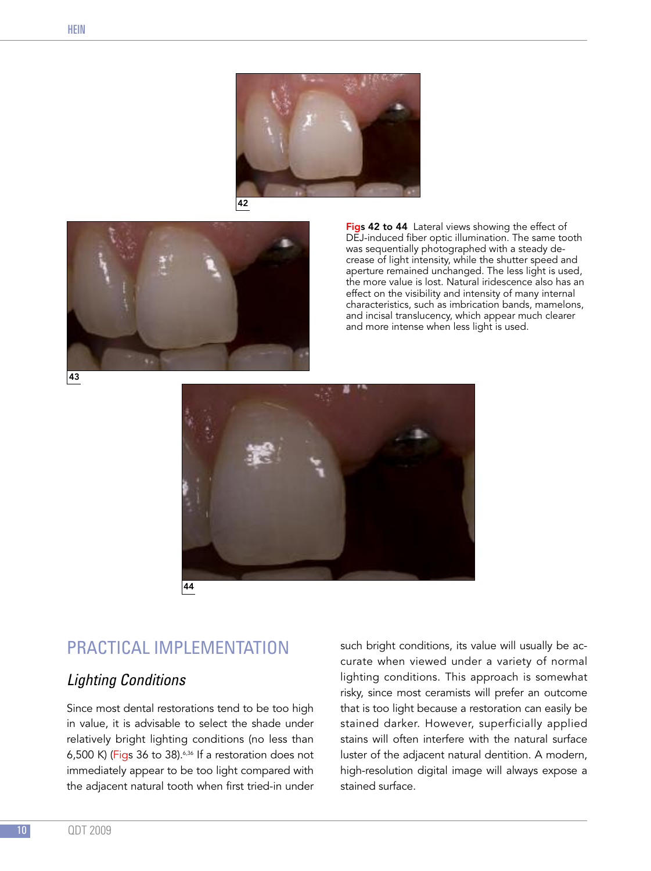



Figs 42 to 44 Lateral views showing the effect of DEJ-induced fiber optic illumination. The same tooth was sequentially photographed with a steady decrease of light intensity, while the shutter speed and aperture remained unchanged. The less light is used, the more value is lost. Natural iridescence also has an effect on the visibility and intensity of many internal characteristics, such as imbrication bands, mamelons, and incisal translucency, which appear much clearer and more intense when less light is used.



# PRACTICAL IMPLEMENTATION

## *Lighting Conditions*

Since most dental restorations tend to be too high in value, it is advisable to select the shade under relatively bright lighting conditions (no less than 6,500 K) (Figs 36 to 38). $6,500$  K) (Figs 36 to 38). $6,500$  K) immediately appear to be too light compared with the adjacent natural tooth when first tried-in under

such bright conditions, its value will usually be accurate when viewed under a variety of normal lighting conditions. This approach is somewhat risky, since most ceramists will prefer an outcome that is too light because a restoration can easily be stained darker. However, superficially applied stains will often interfere with the natural surface luster of the adjacent natural dentition. A modern, high-resolution digital image will always expose a stained surface.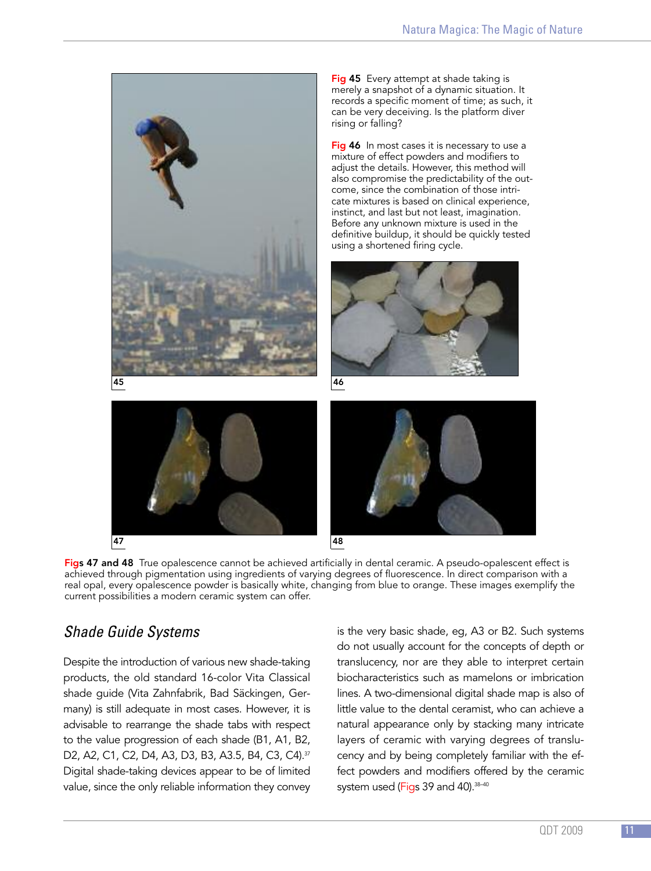

Fig 45 Every attempt at shade taking is merely a snapshot of a dynamic situation. It records a specific moment of time; as such, it can be very deceiving. Is the platform diver rising or falling?

Fig 46 In most cases it is necessary to use a mixture of effect powders and modifiers to adjust the details. However, this method will also compromise the predictability of the outcome, since the combination of those intricate mixtures is based on clinical experience, instinct, and last but not least, imagination. Before any unknown mixture is used in the definitive buildup, it should be quickly tested using a shortened firing cycle.







Figs 47 and 48 True opalescence cannot be achieved artificially in dental ceramic. A pseudo-opalescent effect is achieved through pigmentation using ingredients of varying degrees of fluorescence. In direct comparison with a real opal, every opalescence powder is basically white, changing from blue to orange. These images exemplify the current possibilities a modern ceramic system can offer.

## *Shade Guide Systems*

Despite the introduction of various new shade-taking products, the old standard 16-color Vita Classical shade guide (Vita Zahnfabrik, Bad Säckingen, Germany) is still adequate in most cases. However, it is advisable to rearrange the shade tabs with respect to the value progression of each shade (B1, A1, B2, D2, A2, C1, C2, D4, A3, D3, B3, A3.5, B4, C3, C4). 37 Digital shade-taking devices appear to be of limited value, since the only reliable information they convey

is the very basic shade, eg, A3 or B2. Such systems do not usually account for the concepts of depth or translucency, nor are they able to interpret certain biocharacteristics such as mamelons or imbrication lines. A two-dimensional digital shade map is also of little value to the dental ceramist, who can achieve a natural appearance only by stacking many intricate layers of ceramic with varying degrees of translucency and by being completely familiar with the effect powders and modifiers offered by the ceramic system used (Figs 39 and 40). 38–40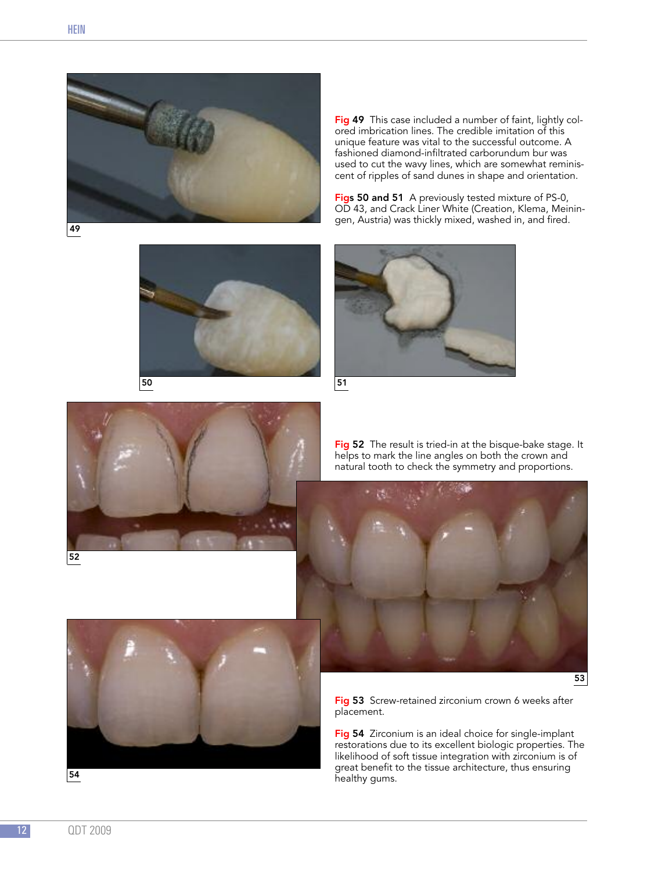

49



Figs 50 and 51 A previously tested mixture of PS-0, OD 43, and Crack Liner White (Creation, Klema, Meiningen, Austria) was thickly mixed, washed in, and fired.







Fig 52 The result is tried-in at the bisque-bake stage. It helps to mark the line angles on both the crown and natural tooth to check the symmetry and proportions.





Fig 53 Screw-retained zirconium crown 6 weeks after placement.

Fig 54 Zirconium is an ideal choice for single-implant restorations due to its excellent biologic properties. The likelihood of soft tissue integration with zirconium is of great benefit to the tissue architecture, thus ensuring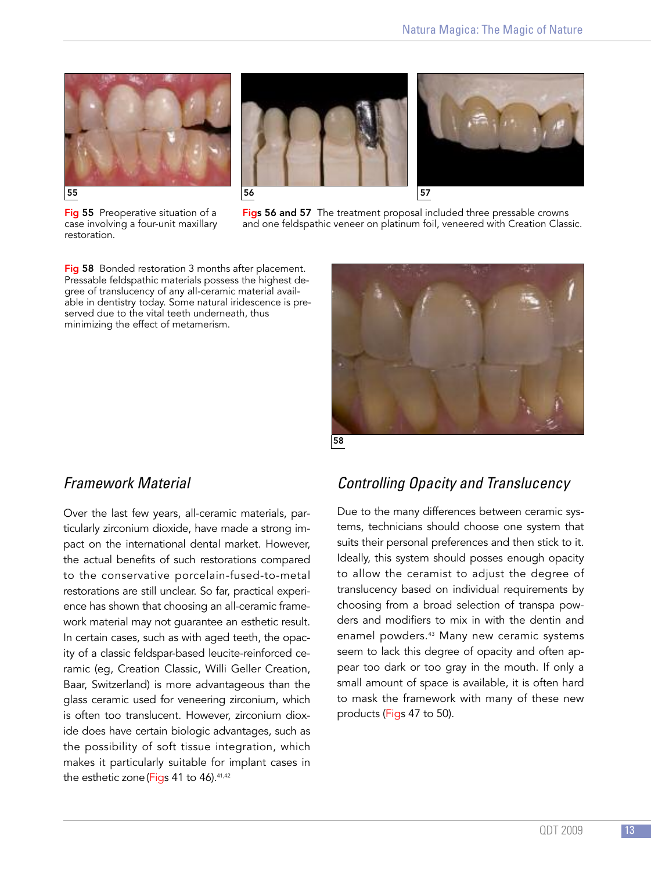





Fig 55 Preoperative situation of a case involving a four-unit maxillary restoration.

Figs 56 and 57 The treatment proposal included three pressable crowns and one feldspathic veneer on platinum foil, veneered with Creation Classic.

Fig 58 Bonded restoration 3 months after placement. Pressable feldspathic materials possess the highest degree of translucency of any all-ceramic material available in dentistry today. Some natural iridescence is preserved due to the vital teeth underneath, thus minimizing the effect of metamerism.



## *Framework Material*

Over the last few years, all-ceramic materials, particularly zirconium dioxide, have made a strong impact on the international dental market. However, the actual benefits of such restorations compared to the conservative porcelain-fused-to-metal restorations are still unclear. So far, practical experience has shown that choosing an all-ceramic framework material may not guarantee an esthetic result. In certain cases, such as with aged teeth, the opacity of a classic feldspar-based leucite-reinforced ceramic (eg, Creation Classic, Willi Geller Creation, Baar, Switzerland) is more advantageous than the glass ceramic used for veneering zirconium, which is often too translucent. However, zirconium dioxide does have certain biologic advantages, such as the possibility of soft tissue integration, which makes it particularly suitable for implant cases in the esthetic zone(Figs 41 to 46). 41,42

## *Controlling Opacity and Translucency*

Due to the many differences between ceramic systems, technicians should choose one system that suits their personal preferences and then stick to it. Ideally, this system should posses enough opacity to allow the ceramist to adjust the degree of translucency based on individual requirements by choosing from a broad selection of transpa powders and modifiers to mix in with the dentin and enamel powders. <sup>43</sup> Many new ceramic systems seem to lack this degree of opacity and often appear too dark or too gray in the mouth. If only a small amount of space is available, it is often hard to mask the framework with many of these new products (Figs 47 to 50).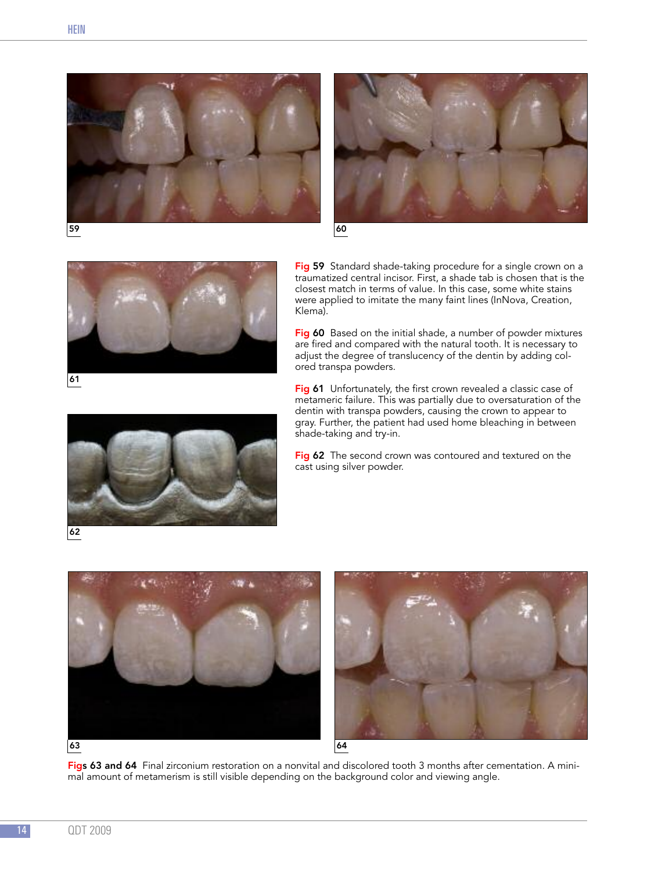







Fig 59 Standard shade-taking procedure for a single crown on a traumatized central incisor. First, a shade tab is chosen that is the closest match in terms of value. In this case, some white stains were applied to imitate the many faint lines (InNova, Creation, Klema).

Fig 60 Based on the initial shade, a number of powder mixtures are fired and compared with the natural tooth. It is necessary to adjust the degree of translucency of the dentin by adding colored transpa powders.

Fig 61 Unfortunately, the first crown revealed a classic case of metameric failure. This was partially due to oversaturation of the dentin with transpa powders, causing the crown to appear to gray. Further, the patient had used home bleaching in between shade-taking and try-in.

Fig 62 The second crown was contoured and textured on the cast using silver powder.





Figs 63 and 64 Final zirconium restoration on a nonvital and discolored tooth 3 months after cementation. A minimal amount of metamerism is still visible depending on the background color and viewing angle.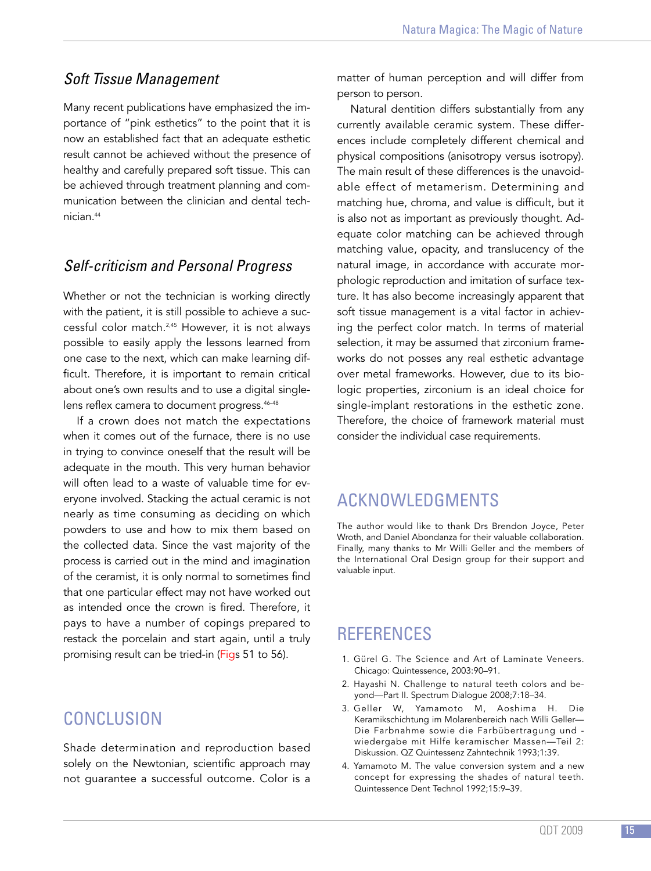#### *Soft Tissue Management*

Many recent publications have emphasized the importance of "pink esthetics" to the point that it is now an established fact that an adequate esthetic result cannot be achieved without the presence of healthy and carefully prepared soft tissue. This can be achieved through treatment planning and communication between the clinician and dental technician. 44

#### *Self-criticism and Personal Progress*

Whether or not the technician is working directly with the patient, it is still possible to achieve a successful color match. 2,45 However, it is not always possible to easily apply the lessons learned from one case to the next, which can make learning difficult. Therefore, it is important to remain critical about one's own results and to use a digital singlelens reflex camera to document progress. 46–48

If a crown does not match the expectations when it comes out of the furnace, there is no use in trying to convince oneself that the result will be adequate in the mouth. This very human behavior will often lead to a waste of valuable time for everyone involved. Stacking the actual ceramic is not nearly as time consuming as deciding on which powders to use and how to mix them based on the collected data. Since the vast majority of the process is carried out in the mind and imagination of the ceramist, it is only normal to sometimes find that one particular effect may not have worked out as intended once the crown is fired. Therefore, it pays to have a number of copings prepared to restack the porcelain and start again, until a truly promising result can be tried-in (Figs 51 to 56).

## **CONCLUSION**

Shade determination and reproduction based solely on the Newtonian, scientific approach may not guarantee a successful outcome. Color is a

matter of human perception and will differ from person to person.

Natural dentition differs substantially from any currently available ceramic system. These differences include completely different chemical and physical compositions (anisotropy versus isotropy). The main result of these differences is the unavoidable effect of metamerism. Determining and matching hue, chroma, and value is difficult, but it is also not as important as previously thought. Adequate color matching can be achieved through matching value, opacity, and translucency of the natural image, in accordance with accurate morphologic reproduction and imitation of surface texture. It has also become increasingly apparent that soft tissue management is a vital factor in achieving the perfect color match. In terms of material selection, it may be assumed that zirconium frameworks do not posses any real esthetic advantage over metal frameworks. However, due to its biologic properties, zirconium is an ideal choice for single-implant restorations in the esthetic zone. Therefore, the choice of framework material must consider the individual case requirements.

## ACKNOWLEDGMENTS

The author would like to thank Drs Brendon Joyce, Peter Wroth, and Daniel Abondanza for their valuable collaboration. Finally, many thanks to Mr Willi Geller and the members of the International Oral Design group for their support and valuable input.

## **REFERENCES**

- 1. Gürel G. The Science and Art of Laminate Veneers. Chicago: Quintessence, 2003:90–91.
- 2. Hayashi N. Challenge to natural teeth colors and beyond—Part II. Spectrum Dialogue 2008;7:18–34.
- 3. Geller W, Yamamoto M, Aoshima H. Die Keramikschichtung im Molarenbereich nach Willi Geller— Die Farbnahme sowie die Farbübertragung und wiedergabe mit Hilfe keramischer Massen—Teil 2: Diskussion. QZ Quintessenz Zahntechnik 1993;1:39.
- 4. Yamamoto M. The value conversion system and a new concept for expressing the shades of natural teeth. Quintessence Dent Technol 1992;15:9–39.